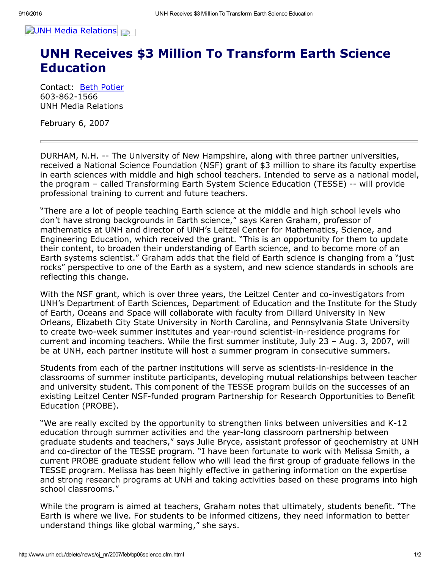

## UNH Receives \$3 Million To Transform Earth Science Education

Contact: Beth [Potier](mailto:beth.potier@unh.edu) 603-862-1566 UNH Media Relations

February 6, 2007

DURHAM, N.H. The University of New Hampshire, along with three partner universities, received a National Science Foundation (NSF) grant of \$3 million to share its faculty expertise in earth sciences with middle and high school teachers. Intended to serve as a national model, the program - called Transforming Earth System Science Education (TESSE) -- will provide professional training to current and future teachers.

"There are a lot of people teaching Earth science at the middle and high school levels who don't have strong backgrounds in Earth science," says Karen Graham, professor of mathematics at UNH and director of UNH's Leitzel Center for Mathematics, Science, and Engineering Education, which received the grant. "This is an opportunity for them to update their content, to broaden their understanding of Earth science, and to become more of an Earth systems scientist." Graham adds that the field of Earth science is changing from a "just rocks" perspective to one of the Earth as a system, and new science standards in schools are reflecting this change.

With the NSF grant, which is over three years, the Leitzel Center and co-investigators from UNH's Department of Earth Sciences, Department of Education and the Institute for the Study of Earth, Oceans and Space will collaborate with faculty from Dillard University in New Orleans, Elizabeth City State University in North Carolina, and Pennsylvania State University to create two-week summer institutes and year-round scientist-in-residence programs for current and incoming teachers. While the first summer institute, July 23 – Aug. 3, 2007, will be at UNH, each partner institute will host a summer program in consecutive summers.

Students from each of the partner institutions will serve as scientists-in-residence in the classrooms of summer institute participants, developing mutual relationships between teacher and university student. This component of the TESSE program builds on the successes of an existing Leitzel Center NSF-funded program Partnership for Research Opportunities to Benefit Education (PROBE).

"We are really excited by the opportunity to strengthen links between universities and K-12 education through summer activities and the year-long classroom partnership between graduate students and teachers," says Julie Bryce, assistant professor of geochemistry at UNH and co-director of the TESSE program. "I have been fortunate to work with Melissa Smith, a current PROBE graduate student fellow who will lead the first group of graduate fellows in the TESSE program. Melissa has been highly effective in gathering information on the expertise and strong research programs at UNH and taking activities based on these programs into high school classrooms."

While the program is aimed at teachers, Graham notes that ultimately, students benefit. "The Earth is where we live. For students to be informed citizens, they need information to better understand things like global warming," she says.